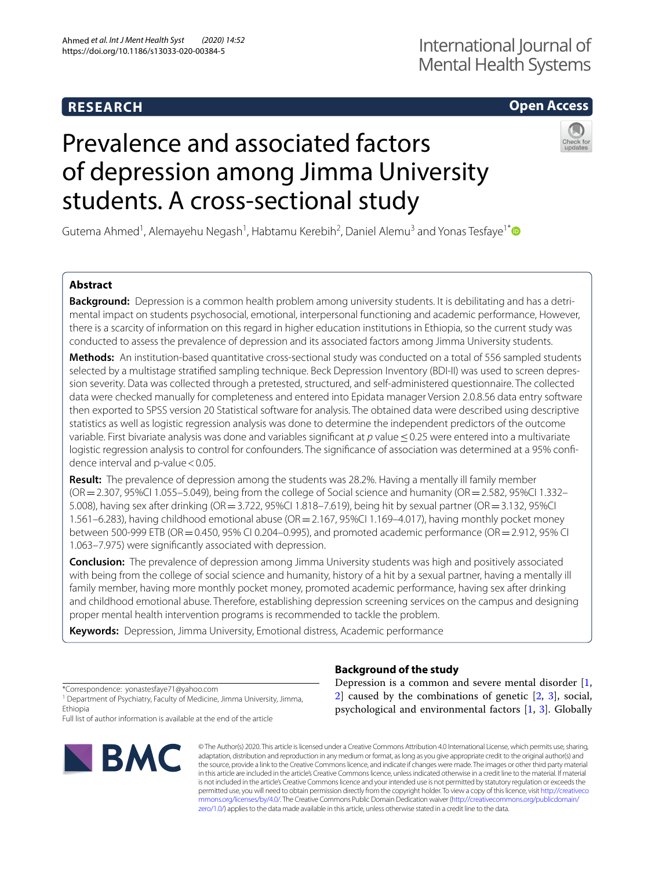## **RESEARCH**

## International Journal of Mental Health Systems

## **Open Access**

# Prevalence and associated factors of depression among Jimma University students. A cross-sectional study



Gutema Ahmed<sup>1</sup>, Alemayehu Negash<sup>1</sup>, Habtamu Kerebih<sup>2</sup>, Daniel Alemu<sup>3</sup> and Yonas Tesfaye<sup>1[\\*](http://orcid.org/0000-0002-6707-9900)</sup>

### **Abstract**

**Background:** Depression is a common health problem among university students. It is debilitating and has a detrimental impact on students psychosocial, emotional, interpersonal functioning and academic performance, However, there is a scarcity of information on this regard in higher education institutions in Ethiopia, so the current study was conducted to assess the prevalence of depression and its associated factors among Jimma University students.

**Methods:** An institution-based quantitative cross-sectional study was conducted on a total of 556 sampled students selected by a multistage stratifed sampling technique. Beck Depression Inventory (BDI-II) was used to screen depression severity. Data was collected through a pretested, structured, and self-administered questionnaire. The collected data were checked manually for completeness and entered into Epidata manager Version 2.0.8.56 data entry software then exported to SPSS version 20 Statistical software for analysis. The obtained data were described using descriptive statistics as well as logistic regression analysis was done to determine the independent predictors of the outcome variable. First bivariate analysis was done and variables significant at *p* value ≤0.25 were entered into a multivariate logistic regression analysis to control for confounders. The significance of association was determined at a 95% confidence interval and p-value  $< 0.05$ .

**Result:** The prevalence of depression among the students was 28.2%. Having a mentally ill family member  $(OR = 2.307, 95\% CI 1.055 - 5.049)$ , being from the college of Social science and humanity  $(OR = 2.582, 95\% CI 1.332 -$ 5.008), having sex after drinking (OR=3.722, 95%CI 1.818–7.619), being hit by sexual partner (OR=3.132, 95%CI 1.561–6.283), having childhood emotional abuse (OR=2.167, 95%CI 1.169–4.017), having monthly pocket money between 500-999 ETB (OR=0.450, 95% CI 0.204–0.995), and promoted academic performance (OR=2.912, 95% CI 1.063–7.975) were signifcantly associated with depression.

**Conclusion:** The prevalence of depression among Jimma University students was high and positively associated with being from the college of social science and humanity, history of a hit by a sexual partner, having a mentally ill family member, having more monthly pocket money, promoted academic performance, having sex after drinking and childhood emotional abuse. Therefore, establishing depression screening services on the campus and designing proper mental health intervention programs is recommended to tackle the problem.

**Keywords:** Depression, Jimma University, Emotional distress, Academic performance

Full list of author information is available at the end of the article



**Background of the study** Depression is a common and severe mental disorder [\[1](#page-8-0), [2\]](#page-8-1) caused by the combinations of genetic [[2,](#page-8-1) [3\]](#page-8-2), social,

psychological and environmental factors [[1,](#page-8-0) [3](#page-8-2)]. Globally

© The Author(s) 2020. This article is licensed under a Creative Commons Attribution 4.0 International License, which permits use, sharing, adaptation, distribution and reproduction in any medium or format, as long as you give appropriate credit to the original author(s) and the source, provide a link to the Creative Commons licence, and indicate if changes were made. The images or other third party material in this article are included in the article's Creative Commons licence, unless indicated otherwise in a credit line to the material. If material is not included in the article's Creative Commons licence and your intended use is not permitted by statutory regulation or exceeds the permitted use, you will need to obtain permission directly from the copyright holder. To view a copy of this licence, visit [http://creativeco](http://creativecommons.org/licenses/by/4.0/) [mmons.org/licenses/by/4.0/.](http://creativecommons.org/licenses/by/4.0/) The Creative Commons Public Domain Dedication waiver ([http://creativecommons.org/publicdomain/](http://creativecommons.org/publicdomain/zero/1.0/) [zero/1.0/\)](http://creativecommons.org/publicdomain/zero/1.0/) applies to the data made available in this article, unless otherwise stated in a credit line to the data.

<sup>\*</sup>Correspondence: yonastesfaye71@yahoo.com

<sup>&</sup>lt;sup>1</sup> Department of Psychiatry, Faculty of Medicine, Jimma University, Jimma, Ethiopia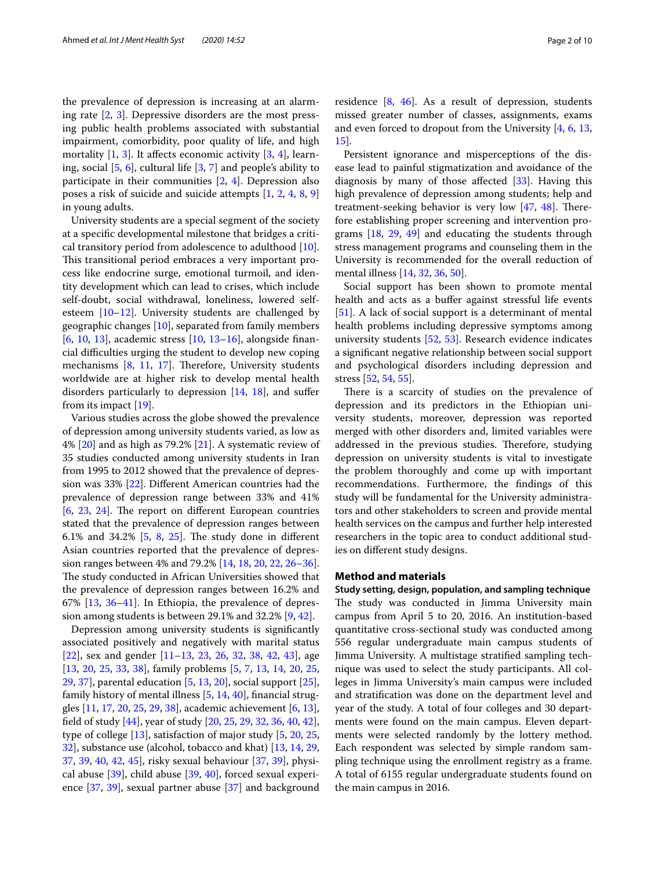the prevalence of depression is increasing at an alarming rate [\[2](#page-8-1), [3\]](#page-8-2). Depressive disorders are the most pressing public health problems associated with substantial impairment, comorbidity, poor quality of life, and high mortality  $[1, 3]$  $[1, 3]$  $[1, 3]$  $[1, 3]$  $[1, 3]$ . It affects economic activity  $[3, 4]$  $[3, 4]$  $[3, 4]$ , learning, social [\[5](#page-8-4), [6\]](#page-8-5), cultural life [\[3](#page-8-2), [7\]](#page-8-6) and people's ability to participate in their communities  $[2, 4]$  $[2, 4]$  $[2, 4]$  $[2, 4]$  $[2, 4]$ . Depression also poses a risk of suicide and suicide attempts [\[1](#page-8-0), [2](#page-8-1), [4](#page-8-3), [8](#page-8-7), [9](#page-8-8)] in young adults.

University students are a special segment of the society at a specifc developmental milestone that bridges a critical transitory period from adolescence to adulthood [\[10](#page-8-9)]. This transitional period embraces a very important process like endocrine surge, emotional turmoil, and identity development which can lead to crises, which include self-doubt, social withdrawal, loneliness, lowered selfesteem [\[10](#page-8-9)[–12\]](#page-8-10). University students are challenged by geographic changes [[10](#page-8-9)], separated from family members [[6,](#page-8-5) [10](#page-8-9), [13](#page-8-11)], academic stress [[10,](#page-8-9) [13](#page-8-11)–[16\]](#page-8-12), alongside fnancial difculties urging the student to develop new coping mechanisms  $[8, 11, 17]$  $[8, 11, 17]$  $[8, 11, 17]$  $[8, 11, 17]$  $[8, 11, 17]$  $[8, 11, 17]$ . Therefore, University students worldwide are at higher risk to develop mental health disorders particularly to depression [\[14](#page-8-15), [18](#page-8-16)], and sufer from its impact [[19\]](#page-8-17).

Various studies across the globe showed the prevalence of depression among university students varied, as low as 4%  $[20]$  $[20]$  and as high as 79.2%  $[21]$  $[21]$ . A systematic review of 35 studies conducted among university students in Iran from 1995 to 2012 showed that the prevalence of depression was 33% [\[22](#page-8-20)]. Diferent American countries had the prevalence of depression range between 33% and 41%  $[6, 23, 24]$  $[6, 23, 24]$  $[6, 23, 24]$  $[6, 23, 24]$  $[6, 23, 24]$  $[6, 23, 24]$ . The report on different European countries stated that the prevalence of depression ranges between 6.1% and 34.2%  $[5, 8, 25]$  $[5, 8, 25]$  $[5, 8, 25]$  $[5, 8, 25]$  $[5, 8, 25]$  $[5, 8, 25]$  $[5, 8, 25]$ . The study done in different Asian countries reported that the prevalence of depression ranges between 4% and 79.2% [\[14](#page-8-15), [18](#page-8-16), [20,](#page-8-18) [22](#page-8-20), [26](#page-8-24)[–36](#page-8-25)]. The study conducted in African Universities showed that the prevalence of depression ranges between 16.2% and 67% [\[13](#page-8-11), [36–](#page-8-25)[41\]](#page-9-0). In Ethiopia, the prevalence of depression among students is between 29.1% and 32.2% [[9,](#page-8-8) [42](#page-9-1)].

Depression among university students is signifcantly associated positively and negatively with marital status [[22\]](#page-8-20), sex and gender [[11–](#page-8-13)[13](#page-8-11), [23,](#page-8-21) [26,](#page-8-24) [32](#page-8-26), [38,](#page-9-2) [42](#page-9-1), [43](#page-9-3)], age [[13,](#page-8-11) [20,](#page-8-18) [25](#page-8-23), [33](#page-8-27), [38\]](#page-9-2), family problems [\[5](#page-8-4), [7](#page-8-6), [13,](#page-8-11) [14,](#page-8-15) [20](#page-8-18), [25](#page-8-23), [29,](#page-8-28) [37\]](#page-8-29), parental education [[5,](#page-8-4) [13](#page-8-11), [20](#page-8-18)], social support [\[25](#page-8-23)], family history of mental illness [\[5](#page-8-4), [14,](#page-8-15) [40](#page-9-4)], fnancial struggles [[11,](#page-8-13) [17](#page-8-14), [20,](#page-8-18) [25,](#page-8-23) [29](#page-8-28), [38\]](#page-9-2), academic achievement [[6,](#page-8-5) [13](#page-8-11)], feld of study [\[44](#page-9-5)], year of study [\[20](#page-8-18), [25](#page-8-23), [29,](#page-8-28) [32](#page-8-26), [36](#page-8-25), [40,](#page-9-4) [42](#page-9-1)], type of college [[13\]](#page-8-11), satisfaction of major study [\[5,](#page-8-4) [20,](#page-8-18) [25](#page-8-23), [32\]](#page-8-26), substance use (alcohol, tobacco and khat) [\[13](#page-8-11), [14,](#page-8-15) [29](#page-8-28), [37,](#page-8-29) [39](#page-9-6), [40](#page-9-4), [42](#page-9-1), [45](#page-9-7)], risky sexual behaviour [\[37](#page-8-29), [39](#page-9-6)], physical abuse [\[39](#page-9-6)], child abuse [\[39](#page-9-6), [40](#page-9-4)], forced sexual experience [[37,](#page-8-29) [39\]](#page-9-6), sexual partner abuse [\[37](#page-8-29)] and background residence  $[8, 46]$  $[8, 46]$  $[8, 46]$  $[8, 46]$  $[8, 46]$ . As a result of depression, students missed greater number of classes, assignments, exams and even forced to dropout from the University [[4,](#page-8-3) [6,](#page-8-5) [13](#page-8-11),

Persistent ignorance and misperceptions of the disease lead to painful stigmatization and avoidance of the diagnosis by many of those affected  $[33]$  $[33]$ . Having this high prevalence of depression among students; help and treatment-seeking behavior is very low  $[47, 48]$  $[47, 48]$  $[47, 48]$  $[47, 48]$ . Therefore establishing proper screening and intervention programs [\[18,](#page-8-16) [29](#page-8-28), [49](#page-9-11)] and educating the students through stress management programs and counseling them in the University is recommended for the overall reduction of mental illness [\[14](#page-8-15), [32](#page-8-26), [36,](#page-8-25) [50](#page-9-12)].

Social support has been shown to promote mental health and acts as a bufer against stressful life events [[51\]](#page-9-13). A lack of social support is a determinant of mental health problems including depressive symptoms among university students [\[52](#page-9-14), [53](#page-9-15)]. Research evidence indicates a signifcant negative relationship between social support and psychological disorders including depression and stress [\[52,](#page-9-14) [54](#page-9-16), [55\]](#page-9-17).

There is a scarcity of studies on the prevalence of depression and its predictors in the Ethiopian university students, moreover, depression was reported merged with other disorders and, limited variables were addressed in the previous studies. Therefore, studying depression on university students is vital to investigate the problem thoroughly and come up with important recommendations. Furthermore, the fndings of this study will be fundamental for the University administrators and other stakeholders to screen and provide mental health services on the campus and further help interested researchers in the topic area to conduct additional studies on diferent study designs.

#### **Method and materials**

[15\]](#page-8-30).

**Study setting, design, population, and sampling technique** The study was conducted in Jimma University main campus from April 5 to 20, 2016. An institution-based quantitative cross-sectional study was conducted among 556 regular undergraduate main campus students of Jimma University. A multistage stratifed sampling technique was used to select the study participants. All colleges in Jimma University's main campus were included and stratifcation was done on the department level and year of the study. A total of four colleges and 30 departments were found on the main campus. Eleven departments were selected randomly by the lottery method. Each respondent was selected by simple random sampling technique using the enrollment registry as a frame. A total of 6155 regular undergraduate students found on the main campus in 2016.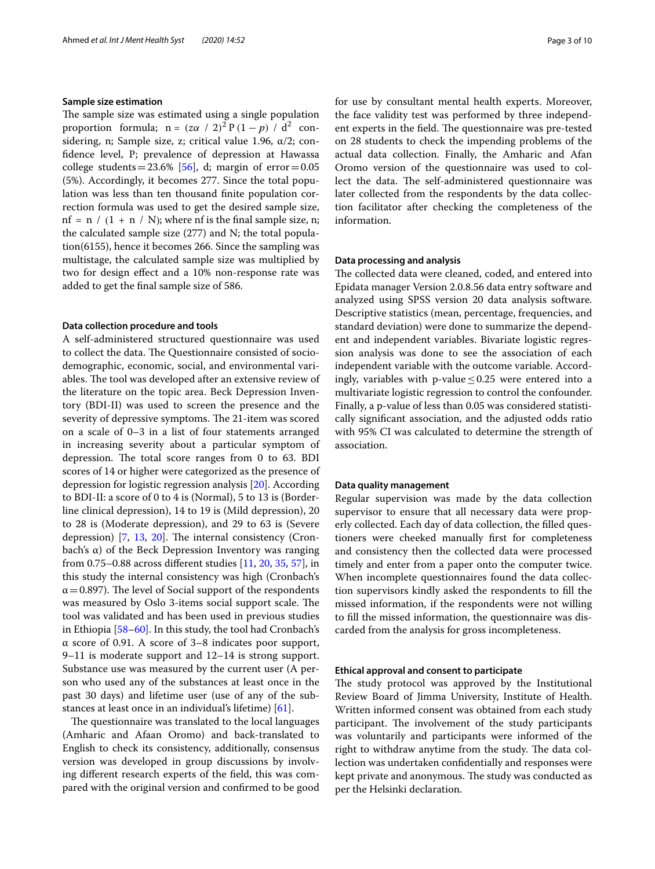#### **Sample size estimation**

The sample size was estimated using a single population proportion formula;  $n = (z\alpha / 2)^2 P (1-p) / d^2$  considering, n; Sample size, z; critical value 1.96,  $\alpha/2$ ; confdence level, P; prevalence of depression at Hawassa college students=23.6% [\[56](#page-9-18)], d; margin of  $error=0.05$ (5%). Accordingly, it becomes 277. Since the total population was less than ten thousand fnite population correction formula was used to get the desired sample size, nf = n / (1 + n / N); where nf is the final sample size, n; the calculated sample size (277) and N; the total population(6155), hence it becomes 266. Since the sampling was multistage, the calculated sample size was multiplied by two for design efect and a 10% non-response rate was added to get the fnal sample size of 586.

#### **Data collection procedure and tools**

A self-administered structured questionnaire was used to collect the data. The Questionnaire consisted of sociodemographic, economic, social, and environmental variables. The tool was developed after an extensive review of the literature on the topic area. Beck Depression Inventory (BDI-II) was used to screen the presence and the severity of depressive symptoms. The 21-item was scored on a scale of 0–3 in a list of four statements arranged in increasing severity about a particular symptom of depression. The total score ranges from  $0$  to  $63$ . BDI scores of 14 or higher were categorized as the presence of depression for logistic regression analysis [\[20](#page-8-18)]. According to BDI-II: a score of 0 to 4 is (Normal), 5 to 13 is (Borderline clinical depression), 14 to 19 is (Mild depression), 20 to 28 is (Moderate depression), and 29 to 63 is (Severe depression)  $[7, 13, 20]$  $[7, 13, 20]$  $[7, 13, 20]$  $[7, 13, 20]$  $[7, 13, 20]$  $[7, 13, 20]$  $[7, 13, 20]$ . The internal consistency (Cronbach's α) of the Beck Depression Inventory was ranging from 0.75–0.88 across diferent studies [\[11,](#page-8-13) [20](#page-8-18), [35](#page-8-31), [57\]](#page-9-19), in this study the internal consistency was high (Cronbach's  $\alpha$  = 0.897). The level of Social support of the respondents was measured by Oslo 3-items social support scale. The tool was validated and has been used in previous studies in Ethiopia [[58](#page-9-20)[–60](#page-9-21)]. In this study, the tool had Cronbach's α score of 0.91. A score of 3–8 indicates poor support, 9–11 is moderate support and 12–14 is strong support. Substance use was measured by the current user (A person who used any of the substances at least once in the past 30 days) and lifetime user (use of any of the substances at least once in an individual's lifetime) [\[61](#page-9-22)].

The questionnaire was translated to the local languages (Amharic and Afaan Oromo) and back-translated to English to check its consistency, additionally, consensus version was developed in group discussions by involving diferent research experts of the feld, this was compared with the original version and confrmed to be good for use by consultant mental health experts. Moreover, the face validity test was performed by three independent experts in the field. The questionnaire was pre-tested on 28 students to check the impending problems of the actual data collection. Finally, the Amharic and Afan Oromo version of the questionnaire was used to collect the data. The self-administered questionnaire was later collected from the respondents by the data collection facilitator after checking the completeness of the information.

#### **Data processing and analysis**

The collected data were cleaned, coded, and entered into Epidata manager Version 2.0.8.56 data entry software and analyzed using SPSS version 20 data analysis software. Descriptive statistics (mean, percentage, frequencies, and standard deviation) were done to summarize the dependent and independent variables. Bivariate logistic regression analysis was done to see the association of each independent variable with the outcome variable. Accordingly, variables with p-value  $\leq 0.25$  were entered into a multivariate logistic regression to control the confounder. Finally, a p-value of less than 0.05 was considered statistically signifcant association, and the adjusted odds ratio with 95% CI was calculated to determine the strength of association.

#### **Data quality management**

Regular supervision was made by the data collection supervisor to ensure that all necessary data were properly collected. Each day of data collection, the flled questioners were cheeked manually frst for completeness and consistency then the collected data were processed timely and enter from a paper onto the computer twice. When incomplete questionnaires found the data collection supervisors kindly asked the respondents to fll the missed information, if the respondents were not willing to fll the missed information, the questionnaire was discarded from the analysis for gross incompleteness.

#### **Ethical approval and consent to participate**

The study protocol was approved by the Institutional Review Board of Jimma University, Institute of Health. Written informed consent was obtained from each study participant. The involvement of the study participants was voluntarily and participants were informed of the right to withdraw anytime from the study. The data collection was undertaken confdentially and responses were kept private and anonymous. The study was conducted as per the Helsinki declaration.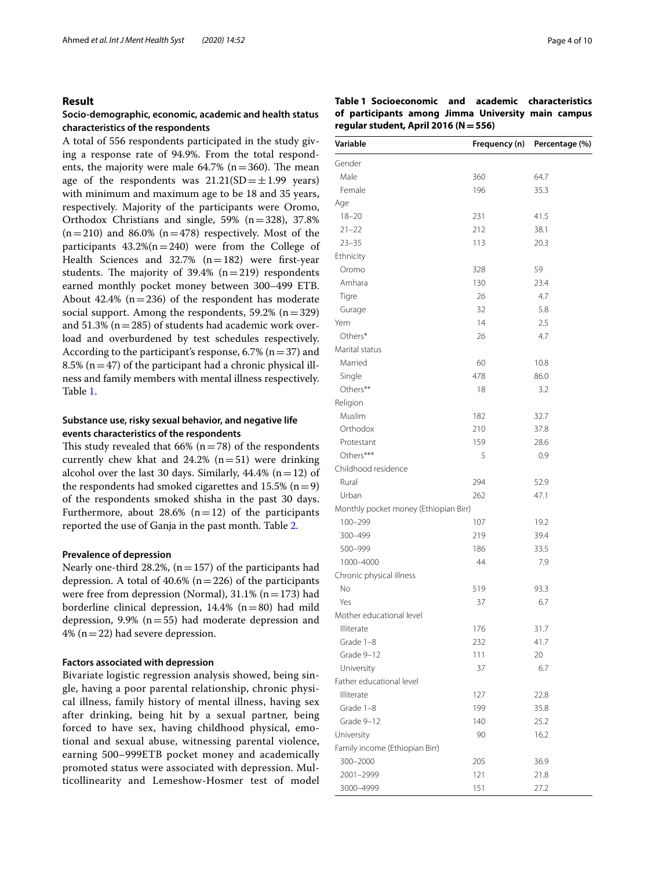#### **Result**

#### **Socio‑demographic, economic, academic and health status characteristics of the respondents**

A total of 556 respondents participated in the study giving a response rate of 94.9%. From the total respondents, the majority were male  $64.7\%$  (n=360). The mean age of the respondents was  $21.21(SD=\pm1.99$  years) with minimum and maximum age to be 18 and 35 years, respectively. Majority of the participants were Oromo, Orthodox Christians and single,  $59\%$  (n=328), 37.8%  $(n=210)$  and 86.0%  $(n=478)$  respectively. Most of the participants  $43.2\%$ (n=240) were from the College of Health Sciences and  $32.7\%$  (n=182) were first-year students. The majority of  $39.4\%$  (n=219) respondents earned monthly pocket money between 300–499 ETB. About 42.4% ( $n=236$ ) of the respondent has moderate social support. Among the respondents,  $59.2\%$  (n=329) and  $51.3\%$  ( $n=285$ ) of students had academic work overload and overburdened by test schedules respectively. According to the participant's response, 6.7% ( $n=37$ ) and 8.5% ( $n=47$ ) of the participant had a chronic physical illness and family members with mental illness respectively. Table [1](#page-3-0).

#### **Substance use, risky sexual behavior, and negative life events characteristics of the respondents**

This study revealed that 66% ( $n=78$ ) of the respondents currently chew khat and  $24.2\%$  (n=51) were drinking alcohol over the last 30 days. Similarly,  $44.4\%$  (n = 12) of the respondents had smoked cigarettes and  $15.5\%$  (n=9) of the respondents smoked shisha in the past 30 days. Furthermore, about 28.6%  $(n=12)$  of the participants reported the use of Ganja in the past month. Table [2](#page-4-0).

#### **Prevalence of depression**

Nearly one-third 28.2%,  $(n=157)$  of the participants had depression. A total of  $40.6\%$  (n=226) of the participants were free from depression (Normal),  $31.1\%$  (n = 173) had borderline clinical depression,  $14.4\%$  (n=80) had mild depression, 9.9% ( $n=55$ ) had moderate depression and 4% ( $n=22$ ) had severe depression.

#### **Factors associated with depression**

Bivariate logistic regression analysis showed, being single, having a poor parental relationship, chronic physical illness, family history of mental illness, having sex after drinking, being hit by a sexual partner, being forced to have sex, having childhood physical, emotional and sexual abuse, witnessing parental violence, earning 500–999ETB pocket money and academically promoted status were associated with depression. Multicollinearity and Lemeshow-Hosmer test of model

<span id="page-3-0"></span>**Table 1 Socioeconomic and academic characteristics of participants among Jimma University main campus regular student, April 2016 (N=556)**

| Variable                              | Frequency (n) | Percentage (%) |
|---------------------------------------|---------------|----------------|
| Gender                                |               |                |
| Male                                  | 360           | 64.7           |
| Female                                | 196           | 35.3           |
| Age                                   |               |                |
| $18 - 20$                             | 231           | 41.5           |
| $21 - 22$                             | 212           | 38.1           |
| $23 - 35$                             | 113           | 20.3           |
| Ethnicity                             |               |                |
| Oromo                                 | 328           | 59             |
| Amhara                                | 130           | 23.4           |
| Tigre                                 | 26            | 4.7            |
| Gurage                                | 32            | 5.8            |
| Yem                                   | 14            | 2.5            |
| Others*                               | 26            | 4.7            |
| Marital status                        |               |                |
| Married                               | 60            | 10.8           |
| Single                                | 478           | 86.0           |
| Others**                              | 18            | 3.2            |
| Religion                              |               |                |
| Muslim                                | 182           | 32.7           |
| Orthodox                              | 210           | 37.8           |
| Protestant                            | 159           | 28.6           |
| Others***                             | 5             | 0.9            |
| Childhood residence                   |               |                |
| Rural                                 | 294           | 52.9           |
| Urban                                 | 262           | 47.1           |
| Monthly pocket money (Ethiopian Birr) |               |                |
| $100 - 299$                           | 107           | 19.2           |
| 300-499                               | 219           | 39.4           |
| 500-999                               | 186           | 33.5           |
| 1000-4000                             | 44            | 7.9            |
| Chronic physical illness              |               |                |
| No                                    | 519           | 93.3           |
| Yes                                   | 37            | 6.7            |
| Mother educational level              |               |                |
| Illiterate                            | 176           | 31.7           |
| Grade 1-8                             | 232           | 41.7           |
| Grade 9-12                            | 111           | 20             |
| University                            | 37            | 6.7            |
| Father educational level              |               |                |
| Illiterate                            | 127           | 22.8           |
| Grade 1-8                             | 199           | 35.8           |
| Grade 9-12                            | 140           | 25.2           |
| University                            | 90            | 16.2           |
| Family income (Ethiopian Birr)        |               |                |
| 300-2000                              | 205           | 36.9           |
| 2001-2999                             | 121           | 21.8           |
| 3000-4999                             |               |                |
|                                       | 151           | 27.2           |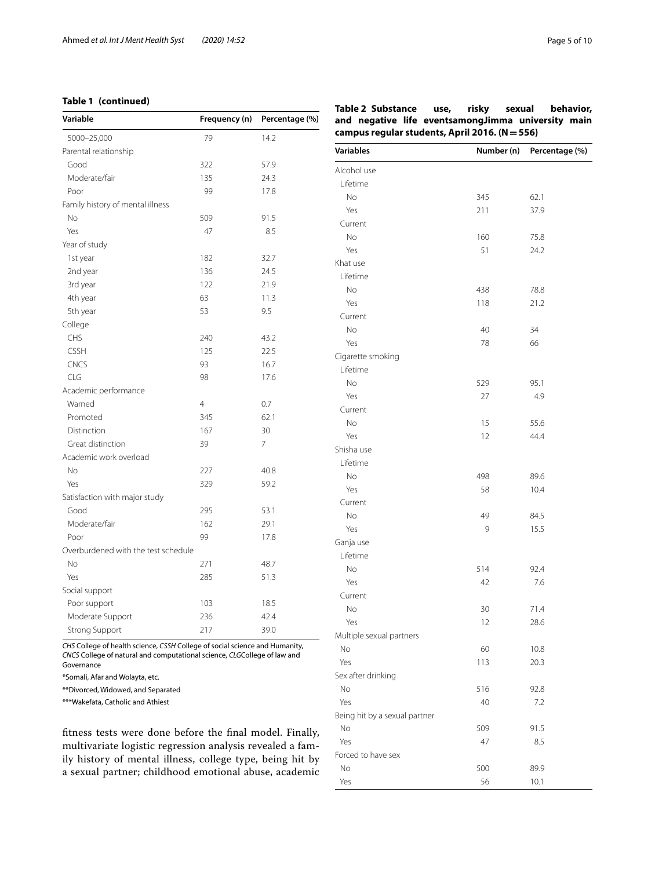#### **Table 1 (continued)**

| Variable                            | Frequency (n)  | Percentage (%) |
|-------------------------------------|----------------|----------------|
| 5000-25,000                         | 79             | 14.2           |
| Parental relationship               |                |                |
| Good                                | 322            | 57.9           |
| Moderate/fair                       | 135            | 24.3           |
| Poor                                | 99             | 17.8           |
| Family history of mental illness    |                |                |
| No                                  | 509            | 91.5           |
| Yes                                 | 47             | 8.5            |
| Year of study                       |                |                |
| 1st year                            | 182            | 32.7           |
| 2nd year                            | 136            | 24.5           |
| 3rd year                            | 122            | 21.9           |
| 4th year                            | 63             | 11.3           |
| 5th year                            | 53             | 9.5            |
| College                             |                |                |
| <b>CHS</b>                          | 240            | 43.2           |
| <b>CSSH</b>                         | 125            | 22.5           |
| <b>CNCS</b>                         | 93             | 16.7           |
| CLG                                 | 98             | 17.6           |
| Academic performance                |                |                |
| Warned                              | $\overline{4}$ | 0.7            |
| Promoted                            | 345            | 62.1           |
| Distinction                         | 167            | 30             |
| Great distinction                   | 39             | 7              |
| Academic work overload              |                |                |
| <b>No</b>                           | 227            | 40.8           |
| Yes                                 | 329            | 59.2           |
| Satisfaction with major study       |                |                |
| Good                                | 295            | 53.1           |
| Moderate/fair                       | 162            | 29.1           |
| Poor                                | 99             | 17.8           |
| Overburdened with the test schedule |                |                |
| <b>No</b>                           | 271            | 48.7           |
| Yes                                 | 285            | 51.3           |
| Social support                      |                |                |
| Poor support                        | 103            | 18.5           |
| Moderate Support                    | 236            | 42.4           |
| <b>Strong Support</b>               | 217            | 39.0           |

*CHS* College of health science, *CSSH* College of social science and Humanity, *CNCS* College of natural and computational science, *CLG*College of law and Governance

\*Somali, Afar and Wolayta, etc.

\*\*Divorced, Widowed, and Separated

\*\*\*Wakefata, Catholic and Athiest

ftness tests were done before the fnal model. Finally, multivariate logistic regression analysis revealed a family history of mental illness, college type, being hit by a sexual partner; childhood emotional abuse, academic

<span id="page-4-0"></span>

|                                                | Table 2 Substance use, risky sexual behavior,      |  |  |  |  |  |  |
|------------------------------------------------|----------------------------------------------------|--|--|--|--|--|--|
|                                                | and negative life eventsamongJimma university main |  |  |  |  |  |  |
| campus regular students, April 2016. (N = 556) |                                                    |  |  |  |  |  |  |

| <b>Variables</b>              | Number (n) | Percentage (%) |
|-------------------------------|------------|----------------|
| Alcohol use                   |            |                |
| Lifetime                      |            |                |
| No                            | 345        | 62.1           |
| Yes                           | 211        | 37.9           |
| Current                       |            |                |
| No                            | 160        | 75.8           |
| Yes                           | 51         | 24.2           |
| Khat use                      |            |                |
| Lifetime                      |            |                |
| No                            | 438        | 78.8           |
| Yes                           | 118        | 21.2           |
| Current                       |            |                |
| No                            | 40         | 34             |
| Yes                           | 78         | 66             |
| Cigarette smoking             |            |                |
| Lifetime                      |            |                |
| <b>No</b>                     | 529        | 95.1           |
| Yes                           | 27         | 4.9            |
| Current                       |            |                |
| No                            | 15         | 55.6           |
| Yes                           | 12         | 44.4           |
| Shisha use                    |            |                |
| Lifetime                      |            |                |
| No                            | 498        | 89.6           |
| Yes                           | 58         | 10.4           |
| Current                       |            |                |
| No                            | 49         | 84.5           |
| Yes                           | 9          | 15.5           |
| Ganja use                     |            |                |
| Lifetime                      |            |                |
| No                            | 514        | 92.4           |
| Yes                           | 42         | 7.6            |
| Current                       |            |                |
| <b>No</b>                     | 30         | 71.4           |
| Yes                           | 12         | 28.6           |
| Multiple sexual partners      |            |                |
| No                            | 60         | 10.8           |
| Yes                           | 113        | 20.3           |
| Sex after drinking            |            |                |
| No                            | 516        | 92.8           |
| Yes                           | 40         | 7.2            |
| Being hit by a sexual partner |            |                |
| No                            | 509        | 91.5           |
| Yes                           | 47         | 8.5            |
| Forced to have sex            |            |                |
| No                            | 500        | 89.9           |
| Yes                           | 56         | 10.1           |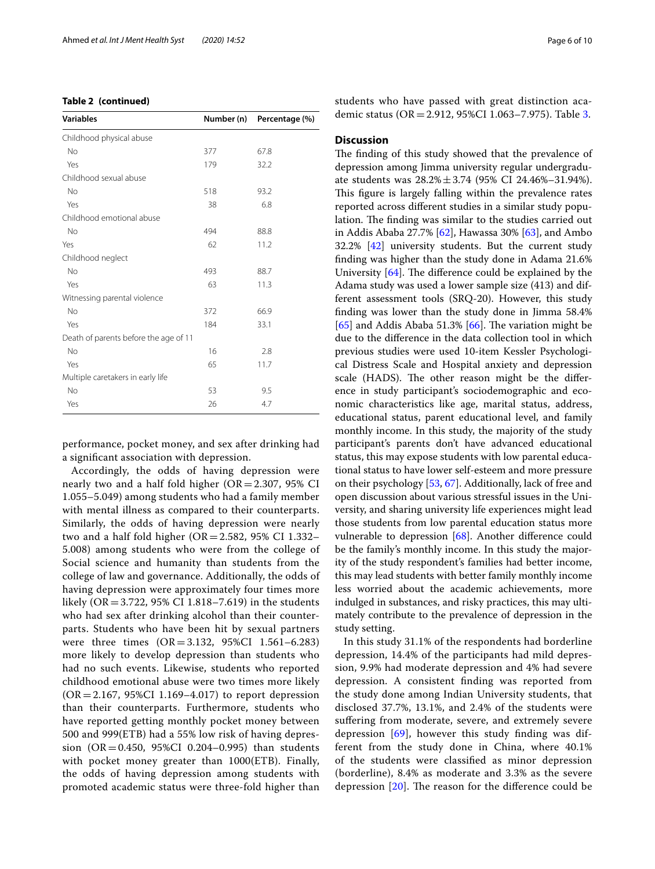|  | Table 2 (continued) |
|--|---------------------|
|--|---------------------|

| <b>Variables</b>                      | Number (n) | Percentage (%) |
|---------------------------------------|------------|----------------|
| Childhood physical abuse              |            |                |
| <b>No</b>                             | 377        | 67.8           |
| Yes                                   | 179        | 32.2           |
| Childhood sexual abuse                |            |                |
| No                                    | 518        | 93.2           |
| Yes                                   | 38         | 6.8            |
| Childhood emotional abuse             |            |                |
| No                                    | 494        | 88.8           |
| Yes                                   | 62         | 11.2           |
| Childhood neglect                     |            |                |
| <b>No</b>                             | 493        | 88.7           |
| Yes                                   | 63         | 11.3           |
| Witnessing parental violence          |            |                |
| <b>No</b>                             | 372        | 66.9           |
| Yes                                   | 184        | 33.1           |
| Death of parents before the age of 11 |            |                |
| <b>No</b>                             | 16         | 2.8            |
| Yes                                   | 65         | 11.7           |
| Multiple caretakers in early life     |            |                |
| No                                    | 53         | 9.5            |
| Yes                                   | 26         | 4.7            |

performance, pocket money, and sex after drinking had a signifcant association with depression.

Accordingly, the odds of having depression were nearly two and a half fold higher (OR=2.307, 95% CI 1.055–5.049) among students who had a family member with mental illness as compared to their counterparts. Similarly, the odds of having depression were nearly two and a half fold higher ( $OR = 2.582$ , 95% CI 1.332– 5.008) among students who were from the college of Social science and humanity than students from the college of law and governance. Additionally, the odds of having depression were approximately four times more likely (OR=3.722, 95% CI 1.818–7.619) in the students who had sex after drinking alcohol than their counterparts. Students who have been hit by sexual partners were three times (OR=3.132, 95%CI 1.561–6.283) more likely to develop depression than students who had no such events. Likewise, students who reported childhood emotional abuse were two times more likely  $(OR = 2.167, 95\% CI 1.169 - 4.017)$  to report depression than their counterparts. Furthermore, students who have reported getting monthly pocket money between 500 and 999(ETB) had a 55% low risk of having depression (OR=0.450, 95%CI 0.204–0.995) than students with pocket money greater than 1000(ETB). Finally, the odds of having depression among students with promoted academic status were three-fold higher than students who have passed with great distinction academic status (OR=2.912, 95%CI 1.063–7.975). Table [3](#page-6-0).

#### **Discussion**

The finding of this study showed that the prevalence of depression among Jimma university regular undergraduate students was 28.2%±3.74 (95% CI 24.46%–31.94%). This figure is largely falling within the prevalence rates reported across diferent studies in a similar study population. The finding was similar to the studies carried out in Addis Ababa 27.7% [[62](#page-9-23)], Hawassa 30% [[63](#page-9-24)], and Ambo 32.2% [[42\]](#page-9-1) university students. But the current study fnding was higher than the study done in Adama 21.6% University  $[64]$  $[64]$ . The difference could be explained by the Adama study was used a lower sample size (413) and different assessment tools (SRQ-20). However, this study fnding was lower than the study done in Jimma 58.4%  $[65]$  $[65]$  and Addis Ababa 51.3%  $[66]$  $[66]$ . The variation might be due to the diference in the data collection tool in which previous studies were used 10-item Kessler Psychological Distress Scale and Hospital anxiety and depression scale (HADS). The other reason might be the difference in study participant's sociodemographic and economic characteristics like age, marital status, address, educational status, parent educational level, and family monthly income. In this study, the majority of the study participant's parents don't have advanced educational status, this may expose students with low parental educational status to have lower self-esteem and more pressure on their psychology [\[53](#page-9-15), [67](#page-9-28)]. Additionally, lack of free and open discussion about various stressful issues in the University, and sharing university life experiences might lead those students from low parental education status more vulnerable to depression [[68](#page-9-29)]. Another diference could be the family's monthly income. In this study the majority of the study respondent's families had better income, this may lead students with better family monthly income less worried about the academic achievements, more indulged in substances, and risky practices, this may ultimately contribute to the prevalence of depression in the study setting.

In this study 31.1% of the respondents had borderline depression, 14.4% of the participants had mild depression, 9.9% had moderate depression and 4% had severe depression. A consistent fnding was reported from the study done among Indian University students, that disclosed 37.7%, 13.1%, and 2.4% of the students were sufering from moderate, severe, and extremely severe depression  $[69]$ , however this study finding was different from the study done in China, where 40.1% of the students were classifed as minor depression (borderline), 8.4% as moderate and 3.3% as the severe depression  $[20]$  $[20]$ . The reason for the difference could be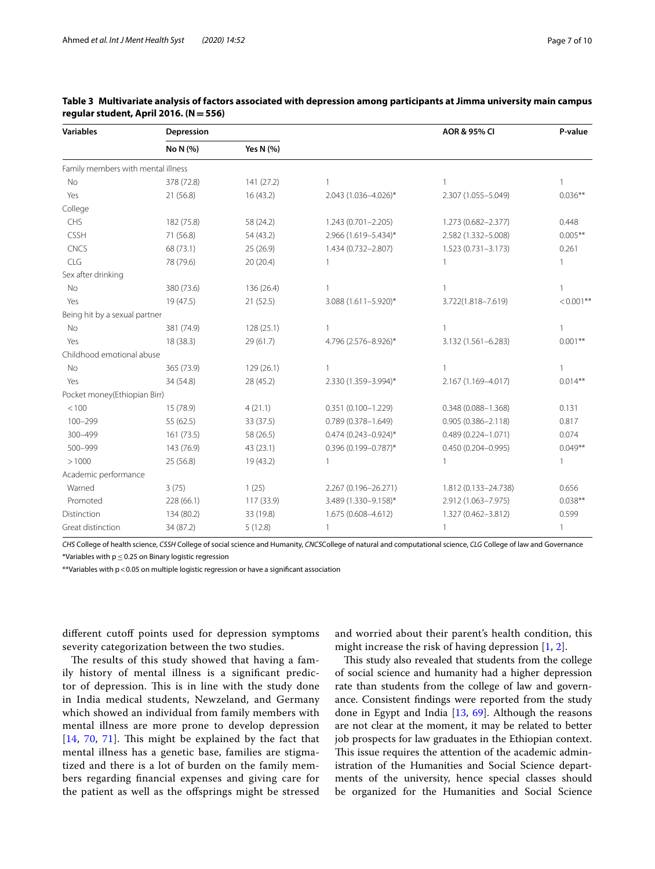| <b>Variables</b>                   | Depression |            |                           | AOR & 95% CI           | P-value      |
|------------------------------------|------------|------------|---------------------------|------------------------|--------------|
|                                    | No N (%)   | Yes N (%)  |                           |                        |              |
| Family members with mental illness |            |            |                           |                        |              |
| <b>No</b>                          | 378 (72.8) | 141 (27.2) | $\mathbf{1}$              | $\mathbf{1}$           | $\mathbf{1}$ |
| Yes                                | 21 (56.8)  | 16 (43.2)  | 2.043 (1.036-4.026)*      | 2.307 (1.055-5.049)    | $0.036**$    |
| College                            |            |            |                           |                        |              |
| CHS                                | 182 (75.8) | 58 (24.2)  | 1.243 (0.701-2.205)       | 1.273 (0.682-2.377)    | 0.448        |
| <b>CSSH</b>                        | 71 (56.8)  | 54 (43.2)  | 2.966 (1.619-5.434)*      | 2.582 (1.332-5.008)    | $0.005**$    |
| <b>CNCS</b>                        | 68 (73.1)  | 25 (26.9)  | 1.434 (0.732-2.807)       | 1.523 (0.731-3.173)    | 0.261        |
| CLG                                | 78 (79.6)  | 20 (20.4)  | 1                         |                        | 1            |
| Sex after drinking                 |            |            |                           |                        |              |
| No                                 | 380 (73.6) | 136 (26.4) | 1                         |                        |              |
| Yes                                | 19(47.5)   | 21(52.5)   | 3.088 (1.611-5.920)*      | 3.722(1.818-7.619)     | $< 0.001$ ** |
| Being hit by a sexual partner      |            |            |                           |                        |              |
| No                                 | 381 (74.9) | 128(25.1)  | $\mathbf{1}$              | 1                      | $\mathbf{1}$ |
| Yes                                | 18 (38.3)  | 29(61.7)   | 4.796 (2.576-8.926)*      | 3.132 (1.561-6.283)    | $0.001**$    |
| Childhood emotional abuse          |            |            |                           |                        |              |
| No                                 | 365 (73.9) | 129(26.1)  | $\mathbf{1}$              | 1                      | 1            |
| Yes                                | 34 (54.8)  | 28 (45.2)  | 2.330 (1.359-3.994)*      | 2.167 (1.169-4.017)    | $0.014***$   |
| Pocket money(Ethiopian Birr)       |            |            |                           |                        |              |
| < 100                              | 15 (78.9)  | 4(21.1)    | $0.351(0.100 - 1.229)$    | $0.348(0.088 - 1.368)$ | 0.131        |
| $100 - 299$                        | 55 (62.5)  | 33 (37.5)  | $0.789(0.378 - 1.649)$    | $0.905(0.386 - 2.118)$ | 0.817        |
| 300-499                            | 161(73.5)  | 58 (26.5)  | $0.474 (0.243 - 0.924)^*$ | $0.489(0.224 - 1.071)$ | 0.074        |
| 500-999                            | 143 (76.9) | 43 (23.1)  | $0.396(0.199 - 0.787)^*$  | 0.450 (0.204-0.995)    | $0.049**$    |
| >1000                              | 25 (56.8)  | 19 (43.2)  | 1                         | 1                      | $\mathbf{1}$ |
| Academic performance               |            |            |                           |                        |              |
| Warned                             | 3(75)      | 1(25)      | 2.267 (0.196-26.271)      | 1.812 (0.133-24.738)   | 0.656        |
| Promoted                           | 228 (66.1) | 117 (33.9) | 3.489 (1.330-9.158)*      | 2.912 (1.063-7.975)    | $0.038**$    |
| Distinction                        | 134 (80.2) | 33 (19.8)  | 1.675 (0.608-4.612)       | 1.327 (0.462-3.812)    | 0.599        |
| Great distinction                  | 34 (87.2)  | 5(12.8)    | $\mathbf{1}$              | $\mathbf{1}$           | $\mathbf{1}$ |

#### <span id="page-6-0"></span>**Table 3 Multivariate analysis of factors associated with depression among participants at Jimma university main campus regular student, April 2016. (N=556)**

*CHS* College of health science, *CSSH* College of social science and Humanity, *CNCS*College of natural and computational science, *CLG* College of law and Governance \*Variables with p≤0.25 on Binary logistic regression

\*\*Variables with p<0.05 on multiple logistic regression or have a signifcant association

different cutoff points used for depression symptoms severity categorization between the two studies.

The results of this study showed that having a family history of mental illness is a signifcant predictor of depression. This is in line with the study done in India medical students, Newzeland, and Germany which showed an individual from family members with mental illness are more prone to develop depression  $[14, 70, 71]$  $[14, 70, 71]$  $[14, 70, 71]$  $[14, 70, 71]$  $[14, 70, 71]$  $[14, 70, 71]$  $[14, 70, 71]$ . This might be explained by the fact that mental illness has a genetic base, families are stigmatized and there is a lot of burden on the family members regarding fnancial expenses and giving care for the patient as well as the ofsprings might be stressed

and worried about their parent's health condition, this might increase the risk of having depression [[1,](#page-8-0) [2\]](#page-8-1).

This study also revealed that students from the college of social science and humanity had a higher depression rate than students from the college of law and governance. Consistent fndings were reported from the study done in Egypt and India [\[13,](#page-8-11) [69\]](#page-9-30). Although the reasons are not clear at the moment, it may be related to better job prospects for law graduates in the Ethiopian context. This issue requires the attention of the academic administration of the Humanities and Social Science departments of the university, hence special classes should be organized for the Humanities and Social Science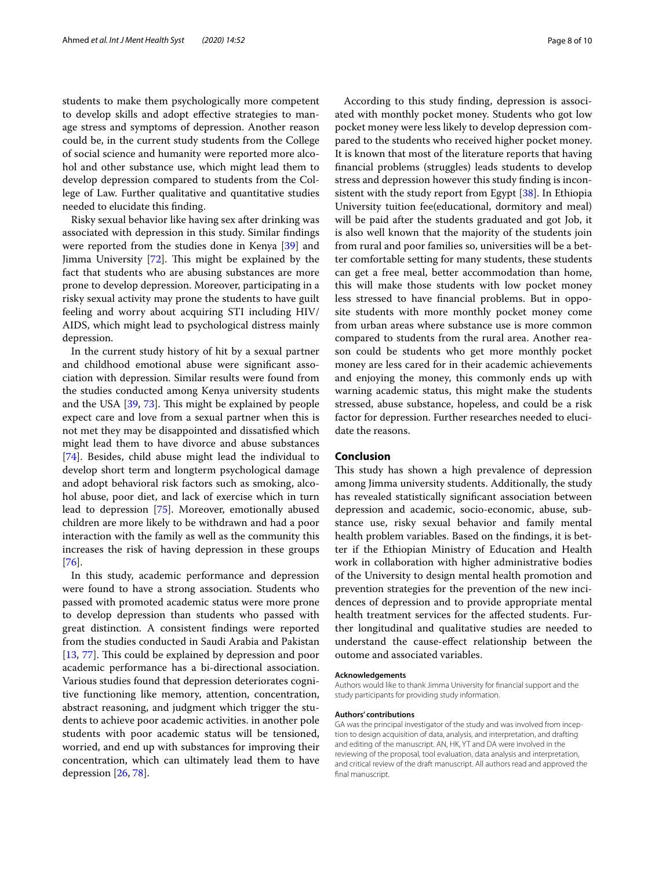students to make them psychologically more competent to develop skills and adopt efective strategies to manage stress and symptoms of depression. Another reason could be, in the current study students from the College of social science and humanity were reported more alcohol and other substance use, which might lead them to develop depression compared to students from the College of Law. Further qualitative and quantitative studies needed to elucidate this fnding.

Risky sexual behavior like having sex after drinking was associated with depression in this study. Similar fndings were reported from the studies done in Kenya [[39\]](#page-9-6) and Jimma University  $[72]$  $[72]$ . This might be explained by the fact that students who are abusing substances are more prone to develop depression. Moreover, participating in a risky sexual activity may prone the students to have guilt feeling and worry about acquiring STI including HIV/ AIDS, which might lead to psychological distress mainly depression.

In the current study history of hit by a sexual partner and childhood emotional abuse were signifcant association with depression. Similar results were found from the studies conducted among Kenya university students and the USA  $[39, 73]$  $[39, 73]$  $[39, 73]$  $[39, 73]$  $[39, 73]$ . This might be explained by people expect care and love from a sexual partner when this is not met they may be disappointed and dissatisfed which might lead them to have divorce and abuse substances [[74\]](#page-9-35). Besides, child abuse might lead the individual to develop short term and longterm psychological damage and adopt behavioral risk factors such as smoking, alcohol abuse, poor diet, and lack of exercise which in turn lead to depression [[75\]](#page-9-36). Moreover, emotionally abused children are more likely to be withdrawn and had a poor interaction with the family as well as the community this increases the risk of having depression in these groups [[76\]](#page-9-37).

In this study, academic performance and depression were found to have a strong association. Students who passed with promoted academic status were more prone to develop depression than students who passed with great distinction. A consistent fndings were reported from the studies conducted in Saudi Arabia and Pakistan [[13,](#page-8-11) [77\]](#page-9-38). This could be explained by depression and poor academic performance has a bi-directional association. Various studies found that depression deteriorates cognitive functioning like memory, attention, concentration, abstract reasoning, and judgment which trigger the students to achieve poor academic activities. in another pole students with poor academic status will be tensioned, worried, and end up with substances for improving their concentration, which can ultimately lead them to have depression [\[26](#page-8-24), [78\]](#page-9-39).

According to this study fnding, depression is associated with monthly pocket money. Students who got low pocket money were less likely to develop depression compared to the students who received higher pocket money. It is known that most of the literature reports that having fnancial problems (struggles) leads students to develop stress and depression however this study fnding is inconsistent with the study report from Egypt [\[38](#page-9-2)]. In Ethiopia University tuition fee(educational, dormitory and meal) will be paid after the students graduated and got Job, it is also well known that the majority of the students join from rural and poor families so, universities will be a better comfortable setting for many students, these students can get a free meal, better accommodation than home, this will make those students with low pocket money less stressed to have fnancial problems. But in opposite students with more monthly pocket money come from urban areas where substance use is more common compared to students from the rural area. Another reason could be students who get more monthly pocket money are less cared for in their academic achievements and enjoying the money, this commonly ends up with warning academic status, this might make the students stressed, abuse substance, hopeless, and could be a risk factor for depression. Further researches needed to elucidate the reasons.

#### **Conclusion**

This study has shown a high prevalence of depression among Jimma university students. Additionally, the study has revealed statistically signifcant association between depression and academic, socio-economic, abuse, substance use, risky sexual behavior and family mental health problem variables. Based on the fndings, it is better if the Ethiopian Ministry of Education and Health work in collaboration with higher administrative bodies of the University to design mental health promotion and prevention strategies for the prevention of the new incidences of depression and to provide appropriate mental health treatment services for the affected students. Further longitudinal and qualitative studies are needed to understand the cause-efect relationship between the outome and associated variables.

#### **Acknowledgements**

Authors would like to thank Jimma University for fnancial support and the study participants for providing study information.

#### **Authors' contributions**

GA was the principal investigator of the study and was involved from inception to design acquisition of data, analysis, and interpretation, and drafting and editing of the manuscript. AN, HK, YT and DA were involved in the reviewing of the proposal, tool evaluation, data analysis and interpretation, and critical review of the draft manuscript. All authors read and approved the fnal manuscript.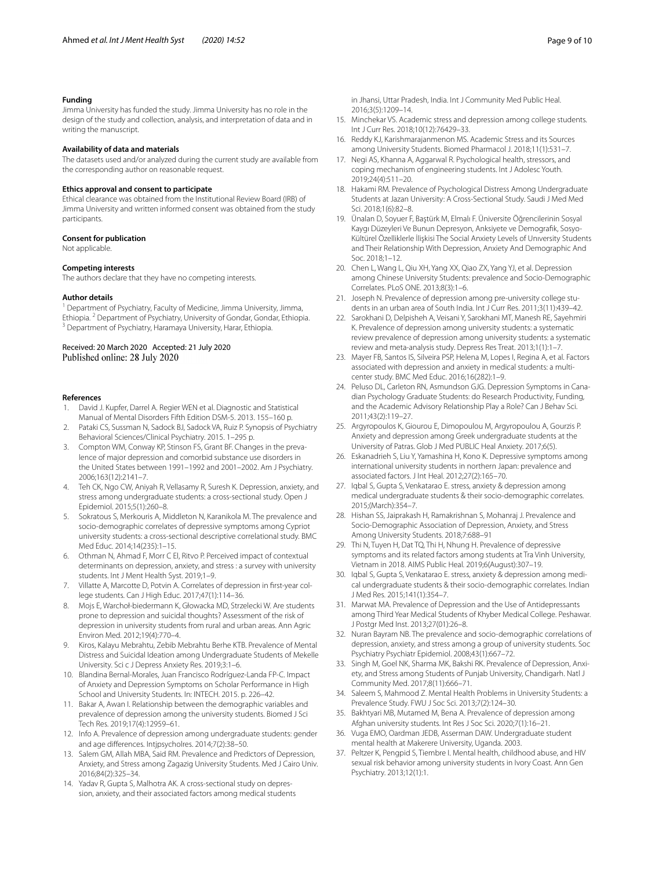#### **Funding**

Jimma University has funded the study. Jimma University has no role in the design of the study and collection, analysis, and interpretation of data and in writing the manuscript.

#### **Availability of data and materials**

The datasets used and/or analyzed during the current study are available from the corresponding author on reasonable request.

#### **Ethics approval and consent to participate**

Ethical clearance was obtained from the Institutional Review Board (IRB) of Jimma University and written informed consent was obtained from the study participants.

#### **Consent for publication**

Not applicable.

#### **Competing interests**

The authors declare that they have no competing interests.

#### **Author details**

<sup>1</sup> Department of Psychiatry, Faculty of Medicine, Jimma University, Jimma, Ethiopia. <sup>2</sup> Department of Psychiatry, University of Gondar, Gondar, Ethiopia.<br><sup>3</sup> Department of Psychiatry, Haramaya University, Harar, Ethiopia.

#### Received: 20 March 2020 Accepted: 21 July 2020 Published online: 28 July 2020

#### **References**

- <span id="page-8-0"></span>1. David J. Kupfer, Darrel A. Regier WEN et al. Diagnostic and Statistical Manual of Mental Disorders Fifth Edition DSM-5. 2013. 155–160 p.
- <span id="page-8-1"></span>2. Pataki CS, Sussman N, Sadock BJ, Sadock VA, Ruiz P. Synopsis of Psychiatry Behavioral Sciences/Clinical Psychiatry. 2015. 1–295 p.
- <span id="page-8-2"></span>3. Compton WM, Conway KP, Stinson FS, Grant BF. Changes in the prevalence of major depression and comorbid substance use disorders in the United States between 1991–1992 and 2001–2002. Am J Psychiatry. 2006;163(12):2141–7.
- <span id="page-8-3"></span>4. Teh CK, Ngo CW, Aniyah R, Vellasamy R, Suresh K. Depression, anxiety, and stress among undergraduate students: a cross-sectional study. Open J Epidemiol. 2015;5(1):260–8.
- <span id="page-8-4"></span>5. Sokratous S, Merkouris A, Middleton N, Karanikola M. The prevalence and socio-demographic correlates of depressive symptoms among Cypriot university students: a cross-sectional descriptive correlational study. BMC Med Educ. 2014;14(235):1–15.
- <span id="page-8-5"></span>6. Othman N, Ahmad F, Morr C El, Ritvo P. Perceived impact of contextual determinants on depression, anxiety, and stress : a survey with university students. Int J Ment Health Syst. 2019;1–9.
- <span id="page-8-6"></span>7. Villatte A, Marcotte D, Potvin A. Correlates of depression in frst-year college students. Can J High Educ. 2017;47(1):114–36.
- <span id="page-8-7"></span>8. Mojs E, Warchoł-biedermann K, Głowacka MD, Strzelecki W. Are students prone to depression and suicidal thoughts? Assessment of the risk of depression in university students from rural and urban areas. Ann Agric Environ Med. 2012;19(4):770–4.
- <span id="page-8-8"></span>9. Kiros, Kalayu Mebrahtu, Zebib Mebrahtu Berhe KTB. Prevalence of Mental Distress and Suicidal Ideation among Undergraduate Students of Mekelle University. Sci c J Depress Anxiety Res. 2019;3:1–6.
- <span id="page-8-9"></span>10. Blandina Bernal-Morales, Juan Francisco Rodríguez-Landa FP-C. Impact of Anxiety and Depression Symptoms on Scholar Performance in High School and University Students. In: INTECH. 2015. p. 226–42.
- <span id="page-8-13"></span>11. Bakar A, Awan I. Relationship between the demographic variables and prevalence of depression among the university students. Biomed J Sci Tech Res. 2019;17(4):12959–61.
- <span id="page-8-10"></span>12. Info A. Prevalence of depression among undergraduate students: gender and age diferences. Intjpsycholres. 2014;7(2):38–50.
- <span id="page-8-11"></span>13. Salem GM, Allah MBA, Said RM. Prevalence and Predictors of Depression, Anxiety, and Stress among Zagazig University Students. Med J Cairo Univ. 2016;84(2):325–34.
- <span id="page-8-15"></span>14. Yadav R, Gupta S, Malhotra AK. A cross-sectional study on depression, anxiety, and their associated factors among medical students

in Jhansi, Uttar Pradesh, India. Int J Community Med Public Heal. 2016;3(5):1209–14.

- <span id="page-8-30"></span>15. Minchekar VS. Academic stress and depression among college students. Int J Curr Res. 2018;10(12):76429–33.
- <span id="page-8-12"></span>16. Reddy KJ, Karishmarajanmenon MS. Academic Stress and its Sources among University Students. Biomed Pharmacol J. 2018;11(1):531–7.
- <span id="page-8-14"></span>17. Negi AS, Khanna A, Aggarwal R. Psychological health, stressors, and coping mechanism of engineering students. Int J Adolesc Youth. 2019;24(4):511–20.
- <span id="page-8-16"></span>18. Hakami RM. Prevalence of Psychological Distress Among Undergraduate Students at Jazan University: A Cross-Sectional Study. Saudi J Med Med Sci. 2018;1(6):82–8.
- <span id="page-8-17"></span>19. Ünalan D, Soyuer F, Baştürk M, Elmalı F. Üniversite Öğrencilerinin Sosyal Kaygı Düzeyleri Ve Bunun Depresyon, Anksiyete ve Demografk, Sosyo-Kültürel Özelliklerle İlişkisi The Social Anxiety Levels of Unıversity Students and Their Relationship With Depression, Anxiety And Demographic And Soc. 2018;1–12.
- <span id="page-8-18"></span>20. Chen L, Wang L, Qiu XH, Yang XX, Qiao ZX, Yang YJ, et al. Depression among Chinese University Students: prevalence and Socio-Demographic Correlates. PLoS ONE. 2013;8(3):1–6.
- <span id="page-8-19"></span>21. Joseph N. Prevalence of depression among pre-university college students in an urban area of South India. Int J Curr Res. 2011;3(11):439–42.
- <span id="page-8-20"></span>22. Sarokhani D, Delpisheh A, Veisani Y, Sarokhani MT, Manesh RE, Sayehmiri K. Prevalence of depression among university students: a systematic review prevalence of depression among university students: a systematic review and meta-analysis study. Depress Res Treat. 2013;1(1):1–7.
- <span id="page-8-21"></span>23. Mayer FB, Santos IS, Silveira PSP, Helena M, Lopes I, Regina A, et al. Factors associated with depression and anxiety in medical students: a multicenter study. BMC Med Educ. 2016;16(282):1–9.
- <span id="page-8-22"></span>24. Peluso DL, Carleton RN, Asmundson GJG. Depression Symptoms in Canadian Psychology Graduate Students: do Research Productivity, Funding, and the Academic Advisory Relationship Play a Role? Can J Behav Sci. 2011;43(2):119–27.
- <span id="page-8-23"></span>25. Argyropoulos K, Giourou E, Dimopoulou M, Argyropoulou A, Gourzis P. Anxiety and depression among Greek undergraduate students at the University of Patras. Glob J Med PUBLIC Heal Anxiety. 2017;6(5).
- <span id="page-8-24"></span>26. Eskanadrieh S, Liu Y, Yamashina H, Kono K. Depressive symptoms among international university students in northern Japan: prevalence and associated factors. J Int Heal. 2012;27(2):165–70.
- 27. Iqbal S, Gupta S, Venkatarao E. stress, anxiety & depression among medical undergraduate students & their socio-demographic correlates. 2015;(March):354–7.
- 28. Hishan SS, Jaiprakash H, Ramakrishnan S, Mohanraj J. Prevalence and Socio-Demographic Association of Depression, Anxiety, and Stress Among University Students. 2018;7:688–91
- <span id="page-8-28"></span>29. Thi N, Tuyen H, Dat TQ, Thi H, Nhung H. Prevalence of depressive symptoms and its related factors among students at Tra Vinh University, Vietnam in 2018. AIMS Public Heal. 2019;6(August):307–19.
- 30. Iqbal S, Gupta S, Venkatarao E. stress, anxiety & depression among medical undergraduate students & their socio-demographic correlates. Indian J Med Res. 2015;141(1):354–7.
- 31. Marwat MA. Prevalence of Depression and the Use of Antidepressants among Third Year Medical Students of Khyber Medical College. Peshawar. J Postgr Med Inst. 2013;27(01):26–8.
- <span id="page-8-26"></span>32. Nuran Bayram NB. The prevalence and socio-demographic correlations of depression, anxiety, and stress among a group of university students. Soc Psychiatry Psychiatr Epidemiol. 2008;43(1):667–72.
- <span id="page-8-27"></span>33. Singh M, Goel NK, Sharma MK, Bakshi RK. Prevalence of Depression, Anxiety, and Stress among Students of Punjab University, Chandigarh. Natl J Community Med. 2017;8(11):666–71.
- 34. Saleem S, Mahmood Z. Mental Health Problems in University Students: a Prevalence Study. FWU J Soc Sci. 2013;7(2):124–30.
- <span id="page-8-31"></span>35. Bakhtyari MB, Mutamed M, Bena A. Prevalence of depression among Afghan university students. Int Res J Soc Sci. 2020;7(1):16–21.
- <span id="page-8-25"></span>36. Vuga EMO, Oardman JEDB, Asserman DAW. Undergraduate student mental health at Makerere University, Uganda. 2003.
- <span id="page-8-29"></span>37. Peltzer K, Pengpid S, Tiembre I. Mental health, childhood abuse, and HIV sexual risk behavior among university students in Ivory Coast. Ann Gen Psychiatry. 2013;12(1):1.